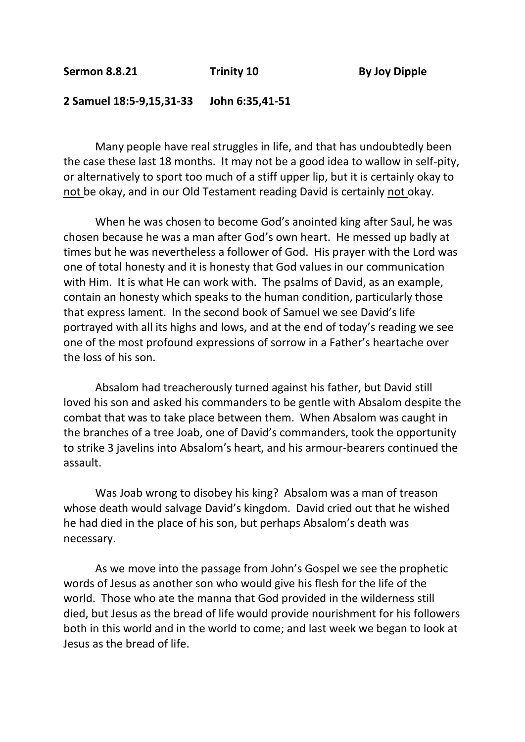## **2 Samuel 18:5-9,15,31-33 John 6:35,41-51**

Many people have real struggles in life, and that has undoubtedly been the case these last 18 months. It may not be a good idea to wallow in self-pity, or alternatively to sport too much of a stiff upper lip, but it is certainly okay to not be okay, and in our Old Testament reading David is certainly not okay.

When he was chosen to become God's anointed king after Saul, he was chosen because he was a man after God's own heart. He messed up badly at times but he was nevertheless a follower of God. His prayer with the Lord was one of total honesty and it is honesty that God values in our communication with Him. It is what He can work with. The psalms of David, as an example, contain an honesty which speaks to the human condition, particularly those that express lament. In the second book of Samuel we see David's life portrayed with all its highs and lows, and at the end of today's reading we see one of the most profound expressions of sorrow in a Father's heartache over the loss of his son.

Absalom had treacherously turned against his father, but David still loved his son and asked his commanders to be gentle with Absalom despite the combat that was to take place between them. When Absalom was caught in the branches of a tree Joab, one of David's commanders, took the opportunity to strike 3 javelins into Absalom's heart, and his armour-bearers continued the assault.

Was Joab wrong to disobey his king? Absalom was a man of treason whose death would salvage David's kingdom. David cried out that he wished he had died in the place of his son, but perhaps Absalom's death was necessary.

As we move into the passage from John's Gospel we see the prophetic words of Jesus as another son who would give his flesh for the life of the world. Those who ate the manna that God provided in the wilderness still died, but Jesus as the bread of life would provide nourishment for his followers both in this world and in the world to come; and last week we began to look at Jesus as the bread of life.